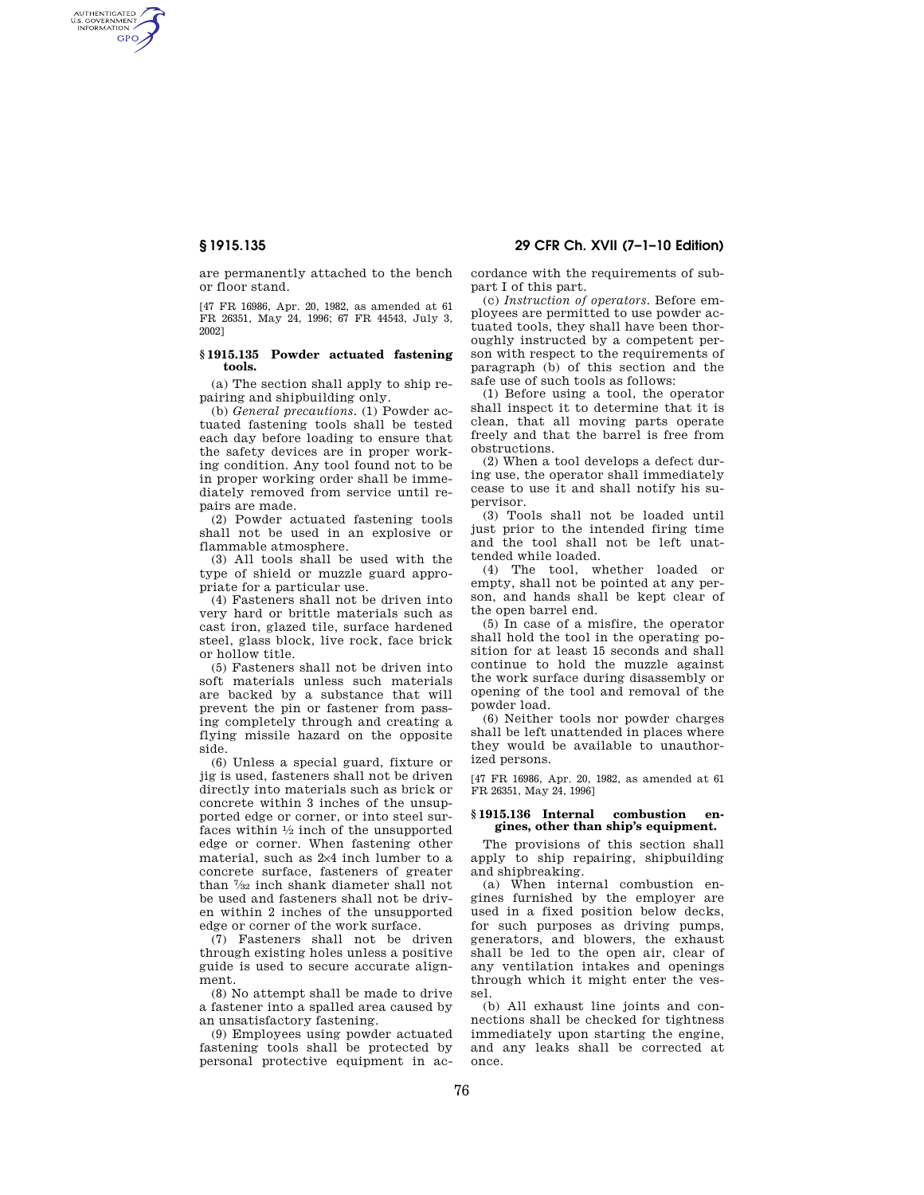AUTHENTICATED<br>U.S. GOVERNMENT<br>INFORMATION **GPO** 

> are permanently attached to the bench or floor stand.

> [47 FR 16986, Apr. 20, 1982, as amended at 61 FR 26351, May 24, 1996; 67 FR 44543, July 3, 2002]

#### **§ 1915.135 Powder actuated fastening tools.**

(a) The section shall apply to ship repairing and shipbuilding only.

(b) *General precautions.* (1) Powder actuated fastening tools shall be tested each day before loading to ensure that the safety devices are in proper working condition. Any tool found not to be in proper working order shall be immediately removed from service until repairs are made.

(2) Powder actuated fastening tools shall not be used in an explosive or flammable atmosphere.

(3) All tools shall be used with the type of shield or muzzle guard appropriate for a particular use.

(4) Fasteners shall not be driven into very hard or brittle materials such as cast iron, glazed tile, surface hardened steel, glass block, live rock, face brick or hollow title.

(5) Fasteners shall not be driven into soft materials unless such materials are backed by a substance that will prevent the pin or fastener from passing completely through and creating a flying missile hazard on the opposite side.

(6) Unless a special guard, fixture or jig is used, fasteners shall not be driven directly into materials such as brick or concrete within 3 inches of the unsupported edge or corner, or into steel surfaces within  $\frac{1}{2}$  inch of the unsupported edge or corner. When fastening other material, such as 2×4 inch lumber to a concrete surface, fasteners of greater than 7⁄32 inch shank diameter shall not be used and fasteners shall not be driven within 2 inches of the unsupported edge or corner of the work surface.

(7) Fasteners shall not be driven through existing holes unless a positive guide is used to secure accurate alignment.

(8) No attempt shall be made to drive a fastener into a spalled area caused by an unsatisfactory fastening.

(9) Employees using powder actuated fastening tools shall be protected by personal protective equipment in ac-

**§ 1915.135 29 CFR Ch. XVII (7–1–10 Edition)** 

cordance with the requirements of subpart I of this part.

(c) *Instruction of operators.* Before employees are permitted to use powder actuated tools, they shall have been thoroughly instructed by a competent person with respect to the requirements of paragraph (b) of this section and the safe use of such tools as follows:

(1) Before using a tool, the operator shall inspect it to determine that it is clean, that all moving parts operate freely and that the barrel is free from obstructions.

(2) When a tool develops a defect during use, the operator shall immediately cease to use it and shall notify his supervisor.

(3) Tools shall not be loaded until just prior to the intended firing time and the tool shall not be left unattended while loaded.

(4) The tool, whether loaded or empty, shall not be pointed at any person, and hands shall be kept clear of the open barrel end.

(5) In case of a misfire, the operator shall hold the tool in the operating position for at least 15 seconds and shall continue to hold the muzzle against the work surface during disassembly or opening of the tool and removal of the powder load.

(6) Neither tools nor powder charges shall be left unattended in places where they would be available to unauthorized persons.

[47 FR 16986, Apr. 20, 1982, as amended at 61 FR 26351, May 24, 1996]

## **§ 1915.136 Internal combustion engines, other than ship's equipment.**

The provisions of this section shall apply to ship repairing, shipbuilding and shipbreaking.

(a) When internal combustion engines furnished by the employer are used in a fixed position below decks, for such purposes as driving pumps, generators, and blowers, the exhaust shall be led to the open air, clear of any ventilation intakes and openings through which it might enter the vessel.

(b) All exhaust line joints and connections shall be checked for tightness immediately upon starting the engine, and any leaks shall be corrected at once.